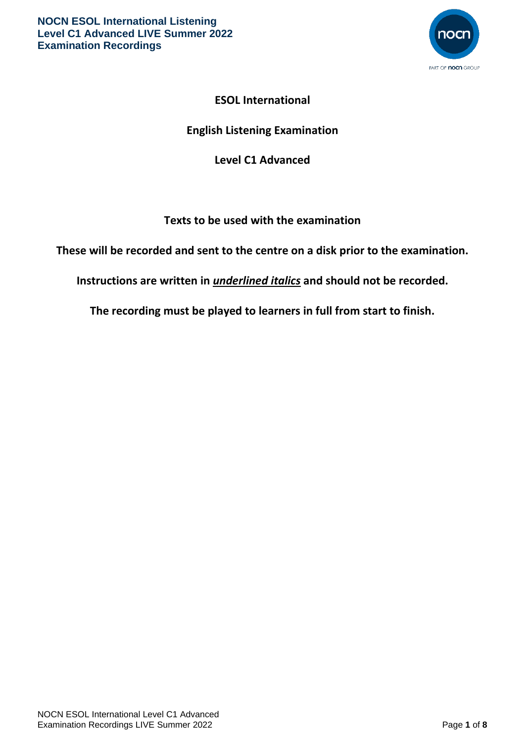

# **ESOL International**

# **English Listening Examination**

# **Level C1 Advanced**

## **Texts to be used with the examination**

**These will be recorded and sent to the centre on a disk prior to the examination.**

**Instructions are written in** *underlined italics* **and should not be recorded.**

**The recording must be played to learners in full from start to finish.**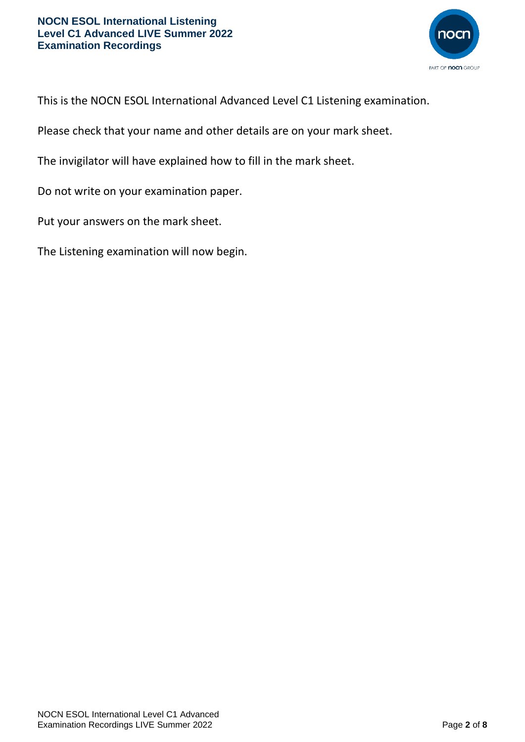

This is the NOCN ESOL International Advanced Level C1 Listening examination.

Please check that your name and other details are on your mark sheet.

The invigilator will have explained how to fill in the mark sheet.

Do not write on your examination paper.

Put your answers on the mark sheet.

The Listening examination will now begin.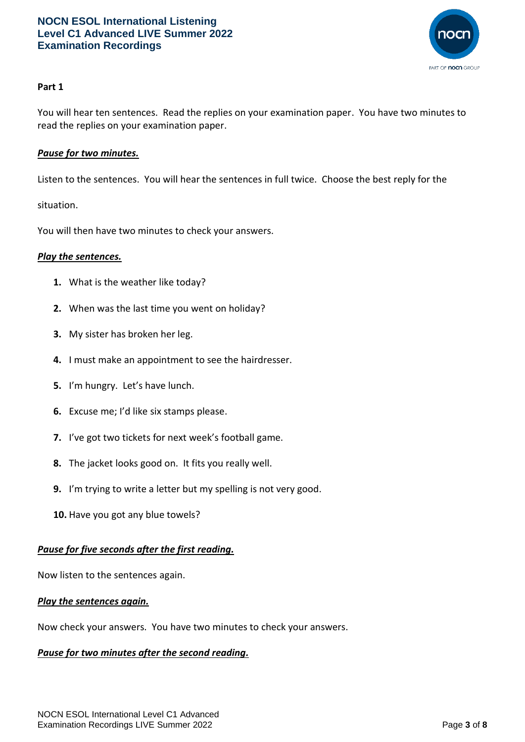

## **Part 1**

You will hear ten sentences. Read the replies on your examination paper. You have two minutes to read the replies on your examination paper.

## *Pause for two minutes.*

Listen to the sentences. You will hear the sentences in full twice. Choose the best reply for the

situation.

You will then have two minutes to check your answers.

#### *Play the sentences.*

- **1.** What is the weather like today?
- **2.** When was the last time you went on holiday?
- **3.** My sister has broken her leg.
- **4.** I must make an appointment to see the hairdresser.
- **5.** I'm hungry. Let's have lunch.
- **6.** Excuse me; I'd like six stamps please.
- **7.** I've got two tickets for next week's football game.
- **8.** The jacket looks good on. It fits you really well.
- **9.** I'm trying to write a letter but my spelling is not very good.
- **10.** Have you got any blue towels?

#### *Pause for five seconds after the first reading.*

Now listen to the sentences again.

#### *Play the sentences again.*

Now check your answers. You have two minutes to check your answers.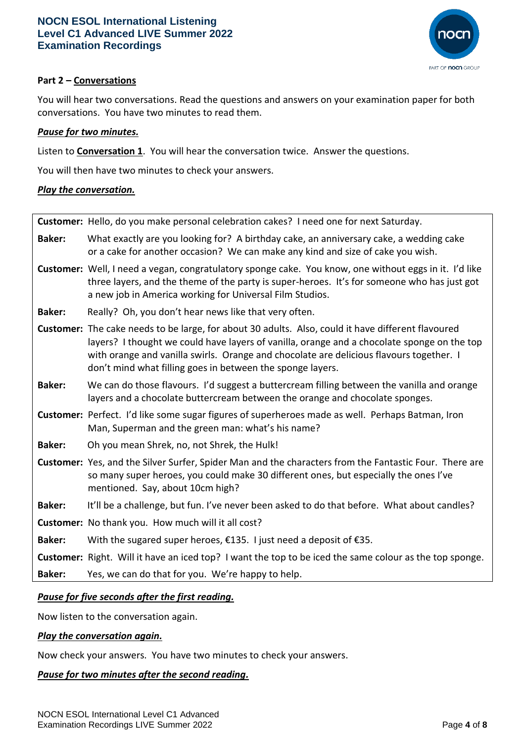

## **Part 2 – Conversations**

You will hear two conversations. Read the questions and answers on your examination paper for both conversations. You have two minutes to read them.

## *Pause for two minutes.*

Listen to **Conversation 1**. You will hear the conversation twice. Answer the questions.

You will then have two minutes to check your answers.

## *Play the conversation.*

|               | Customer: Hello, do you make personal celebration cakes? I need one for next Saturday.                                                                                                                                                                                                                                                                     |
|---------------|------------------------------------------------------------------------------------------------------------------------------------------------------------------------------------------------------------------------------------------------------------------------------------------------------------------------------------------------------------|
| <b>Baker:</b> | What exactly are you looking for? A birthday cake, an anniversary cake, a wedding cake<br>or a cake for another occasion? We can make any kind and size of cake you wish.                                                                                                                                                                                  |
|               | Customer: Well, I need a vegan, congratulatory sponge cake. You know, one without eggs in it. I'd like<br>three layers, and the theme of the party is super-heroes. It's for someone who has just got<br>a new job in America working for Universal Film Studios.                                                                                          |
| <b>Baker:</b> | Really? Oh, you don't hear news like that very often.                                                                                                                                                                                                                                                                                                      |
|               | Customer: The cake needs to be large, for about 30 adults. Also, could it have different flavoured<br>layers? I thought we could have layers of vanilla, orange and a chocolate sponge on the top<br>with orange and vanilla swirls. Orange and chocolate are delicious flavours together. I<br>don't mind what filling goes in between the sponge layers. |
| <b>Baker:</b> | We can do those flavours. I'd suggest a buttercream filling between the vanilla and orange<br>layers and a chocolate buttercream between the orange and chocolate sponges.                                                                                                                                                                                 |
|               | Customer: Perfect. I'd like some sugar figures of superheroes made as well. Perhaps Batman, Iron<br>Man, Superman and the green man: what's his name?                                                                                                                                                                                                      |
| <b>Baker:</b> | Oh you mean Shrek, no, not Shrek, the Hulk!                                                                                                                                                                                                                                                                                                                |
|               | Customer: Yes, and the Silver Surfer, Spider Man and the characters from the Fantastic Four. There are<br>so many super heroes, you could make 30 different ones, but especially the ones I've<br>mentioned. Say, about 10cm high?                                                                                                                         |
| <b>Baker:</b> | It'll be a challenge, but fun. I've never been asked to do that before. What about candles?                                                                                                                                                                                                                                                                |
|               | Customer: No thank you. How much will it all cost?                                                                                                                                                                                                                                                                                                         |
| <b>Baker:</b> | With the sugared super heroes, €135. I just need a deposit of €35.                                                                                                                                                                                                                                                                                         |
|               | Customer: Right. Will it have an iced top? I want the top to be iced the same colour as the top sponge.                                                                                                                                                                                                                                                    |
| <b>Baker:</b> | Yes, we can do that for you. We're happy to help.                                                                                                                                                                                                                                                                                                          |
|               |                                                                                                                                                                                                                                                                                                                                                            |

## *Pause for five seconds after the first reading.*

Now listen to the conversation again.

#### *Play the conversation again.*

Now check your answers. You have two minutes to check your answers.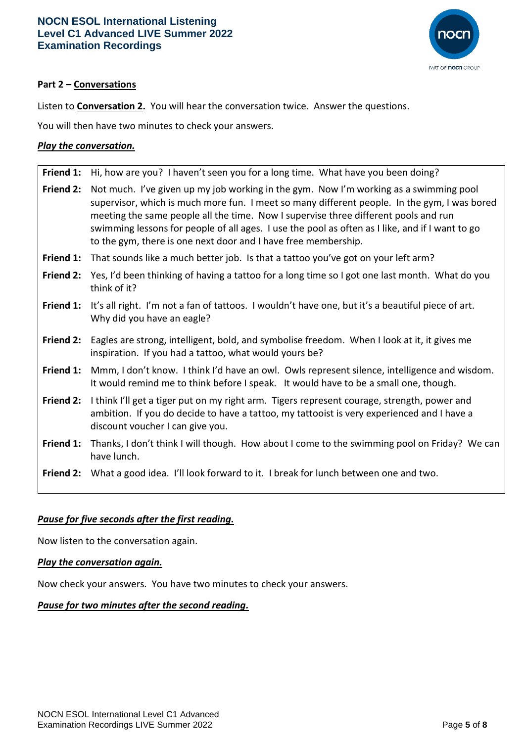

## **Part 2 – Conversations**

Listen to **Conversation 2.** You will hear the conversation twice. Answer the questions.

You will then have two minutes to check your answers.

## *Play the conversation.*

|                  | Friend 1: Hi, how are you? I haven't seen you for a long time. What have you been doing?                                                                                                                                                                                                                                                                                                                                                          |
|------------------|---------------------------------------------------------------------------------------------------------------------------------------------------------------------------------------------------------------------------------------------------------------------------------------------------------------------------------------------------------------------------------------------------------------------------------------------------|
| <b>Friend 2:</b> | Not much. I've given up my job working in the gym. Now I'm working as a swimming pool<br>supervisor, which is much more fun. I meet so many different people. In the gym, I was bored<br>meeting the same people all the time. Now I supervise three different pools and run<br>swimming lessons for people of all ages. I use the pool as often as I like, and if I want to go<br>to the gym, there is one next door and I have free membership. |
| Friend 1:        | That sounds like a much better job. Is that a tattoo you've got on your left arm?                                                                                                                                                                                                                                                                                                                                                                 |
| Friend 2:        | Yes, I'd been thinking of having a tattoo for a long time so I got one last month. What do you<br>think of it?                                                                                                                                                                                                                                                                                                                                    |
| Friend 1:        | It's all right. I'm not a fan of tattoos. I wouldn't have one, but it's a beautiful piece of art.<br>Why did you have an eagle?                                                                                                                                                                                                                                                                                                                   |
| <b>Friend 2:</b> | Eagles are strong, intelligent, bold, and symbolise freedom. When I look at it, it gives me                                                                                                                                                                                                                                                                                                                                                       |
|                  | inspiration. If you had a tattoo, what would yours be?                                                                                                                                                                                                                                                                                                                                                                                            |
| Friend 1:        | Mmm, I don't know. I think I'd have an owl. Owls represent silence, intelligence and wisdom.<br>It would remind me to think before I speak. It would have to be a small one, though.                                                                                                                                                                                                                                                              |
| Friend 2:        | I think I'll get a tiger put on my right arm. Tigers represent courage, strength, power and<br>ambition. If you do decide to have a tattoo, my tattooist is very experienced and I have a<br>discount voucher I can give you.                                                                                                                                                                                                                     |
| Friend 1:        | Thanks, I don't think I will though. How about I come to the swimming pool on Friday? We can<br>have lunch.                                                                                                                                                                                                                                                                                                                                       |

## *Pause for five seconds after the first reading.*

Now listen to the conversation again.

#### *Play the conversation again.*

Now check your answers. You have two minutes to check your answers.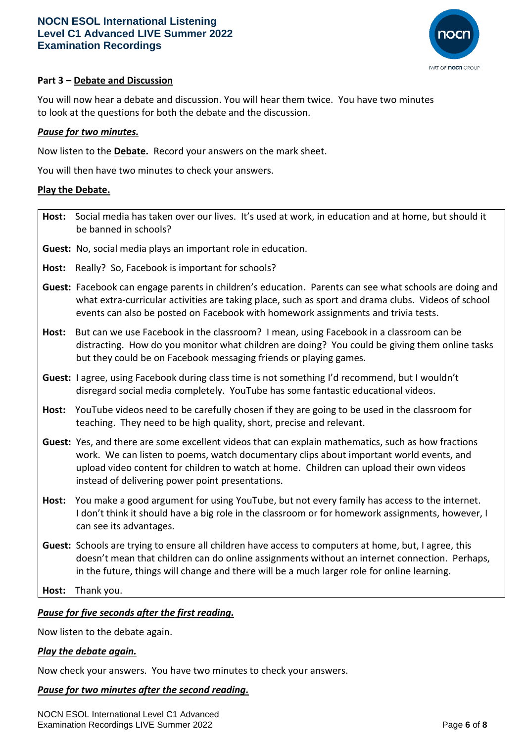

## **Part 3 – Debate and Discussion**

You will now hear a debate and discussion. You will hear them twice. You have two minutes to look at the questions for both the debate and the discussion.

### *Pause for two minutes.*

Now listen to the **Debate.** Record your answers on the mark sheet.

You will then have two minutes to check your answers.

#### **Play the Debate.**

|       | Host: Social media has taken over our lives. It's used at work, in education and at home, but should it<br>be banned in schools?                                                                                                                                                                                                               |
|-------|------------------------------------------------------------------------------------------------------------------------------------------------------------------------------------------------------------------------------------------------------------------------------------------------------------------------------------------------|
|       | Guest: No, social media plays an important role in education.                                                                                                                                                                                                                                                                                  |
| Host: | Really? So, Facebook is important for schools?                                                                                                                                                                                                                                                                                                 |
|       | Guest: Facebook can engage parents in children's education. Parents can see what schools are doing and<br>what extra-curricular activities are taking place, such as sport and drama clubs. Videos of school<br>events can also be posted on Facebook with homework assignments and trivia tests.                                              |
| Host: | But can we use Facebook in the classroom? I mean, using Facebook in a classroom can be<br>distracting. How do you monitor what children are doing? You could be giving them online tasks<br>but they could be on Facebook messaging friends or playing games.                                                                                  |
|       | Guest: I agree, using Facebook during class time is not something I'd recommend, but I wouldn't<br>disregard social media completely. YouTube has some fantastic educational videos.                                                                                                                                                           |
| Host: | YouTube videos need to be carefully chosen if they are going to be used in the classroom for<br>teaching. They need to be high quality, short, precise and relevant.                                                                                                                                                                           |
|       | Guest: Yes, and there are some excellent videos that can explain mathematics, such as how fractions<br>work. We can listen to poems, watch documentary clips about important world events, and<br>upload video content for children to watch at home. Children can upload their own videos<br>instead of delivering power point presentations. |
| Host: | You make a good argument for using YouTube, but not every family has access to the internet.<br>I don't think it should have a big role in the classroom or for homework assignments, however, I<br>can see its advantages.                                                                                                                    |
|       | Guest: Schools are trying to ensure all children have access to computers at home, but, I agree, this<br>doesn't mean that children can do online assignments without an internet connection. Perhaps,<br>in the future, things will change and there will be a much larger role for online learning.                                          |
| Host: | Thank you.                                                                                                                                                                                                                                                                                                                                     |
|       |                                                                                                                                                                                                                                                                                                                                                |

*Pause for five seconds after the first reading.*

Now listen to the debate again.

#### *Play the debate again.*

Now check your answers. You have two minutes to check your answers.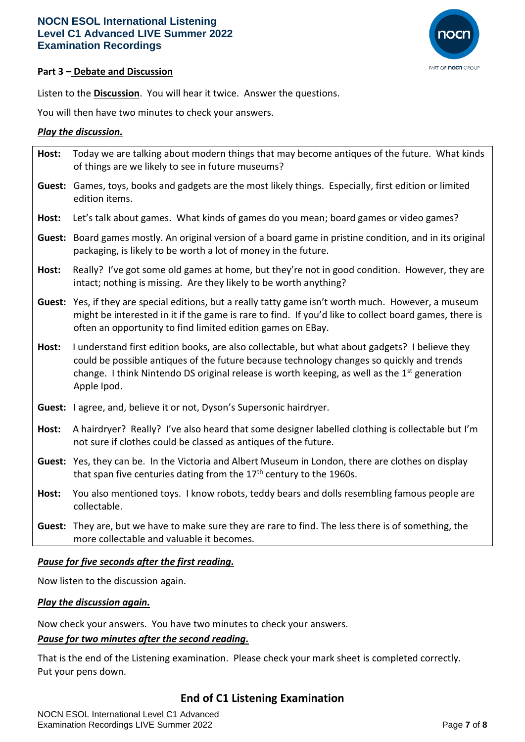

## **Part 3 – Debate and Discussion**

Listen to the **Discussion**. You will hear it twice. Answer the questions.

You will then have two minutes to check your answers.

## *Play the discussion.*

| Host: | Today we are talking about modern things that may become antiques of the future. What kinds<br>of things are we likely to see in future museums?                                                                                                                                                             |
|-------|--------------------------------------------------------------------------------------------------------------------------------------------------------------------------------------------------------------------------------------------------------------------------------------------------------------|
|       | Guest: Games, toys, books and gadgets are the most likely things. Especially, first edition or limited<br>edition items.                                                                                                                                                                                     |
| Host: | Let's talk about games. What kinds of games do you mean; board games or video games?                                                                                                                                                                                                                         |
|       | Guest: Board games mostly. An original version of a board game in pristine condition, and in its original<br>packaging, is likely to be worth a lot of money in the future.                                                                                                                                  |
| Host: | Really? I've got some old games at home, but they're not in good condition. However, they are<br>intact; nothing is missing. Are they likely to be worth anything?                                                                                                                                           |
|       | Guest: Yes, if they are special editions, but a really tatty game isn't worth much. However, a museum<br>might be interested in it if the game is rare to find. If you'd like to collect board games, there is<br>often an opportunity to find limited edition games on EBay.                                |
| Host: | I understand first edition books, are also collectable, but what about gadgets? I believe they<br>could be possible antiques of the future because technology changes so quickly and trends<br>change. I think Nintendo DS original release is worth keeping, as well as the $1st$ generation<br>Apple Ipod. |
|       | Guest: lagree, and, believe it or not, Dyson's Supersonic hairdryer.                                                                                                                                                                                                                                         |
| Host: | A hairdryer? Really? I've also heard that some designer labelled clothing is collectable but I'm<br>not sure if clothes could be classed as antiques of the future.                                                                                                                                          |
|       | Guest: Yes, they can be. In the Victoria and Albert Museum in London, there are clothes on display<br>that span five centuries dating from the 17 <sup>th</sup> century to the 1960s.                                                                                                                        |
| Host: | You also mentioned toys. I know robots, teddy bears and dolls resembling famous people are<br>collectable.                                                                                                                                                                                                   |
|       | Guest: They are, but we have to make sure they are rare to find. The less there is of something, the<br>more collectable and valuable it becomes.                                                                                                                                                            |

## *Pause for five seconds after the first reading.*

Now listen to the discussion again.

#### *Play the discussion again.*

Now check your answers. You have two minutes to check your answers.

#### *Pause for two minutes after the second reading.*

That is the end of the Listening examination. Please check your mark sheet is completed correctly. Put your pens down.

## **End of C1 Listening Examination**